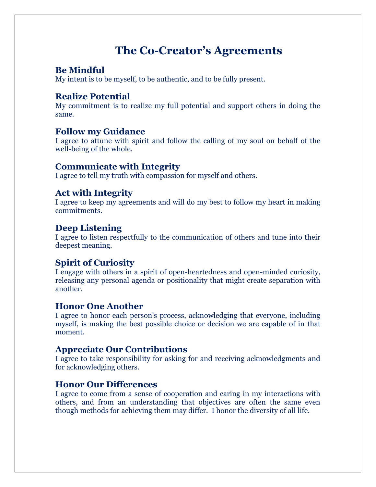# **The Co-Creator's Agreements**

# **Be Mindful**

My intent is to be myself, to be authentic, and to be fully present.

# **Realize Potential**

My commitment is to realize my full potential and support others in doing the same.

### **Follow my Guidance**

I agree to attune with spirit and follow the calling of my soul on behalf of the well-being of the whole.

### **Communicate with Integrity**

I agree to tell my truth with compassion for myself and others.

## **Act with Integrity**

I agree to keep my agreements and will do my best to follow my heart in making commitments.

## **Deep Listening**

I agree to listen respectfully to the communication of others and tune into their deepest meaning.

# **Spirit of Curiosity**

I engage with others in a spirit of open-heartedness and open-minded curiosity, releasing any personal agenda or positionality that might create separation with another.

#### **Honor One Another**

I agree to honor each person's process, acknowledging that everyone, including myself, is making the best possible choice or decision we are capable of in that moment.

### **Appreciate Our Contributions**

I agree to take responsibility for asking for and receiving acknowledgments and for acknowledging others.

### **Honor Our Differences**

I agree to come from a sense of cooperation and caring in my interactions with others, and from an understanding that objectives are often the same even though methods for achieving them may differ. I honor the diversity of all life.